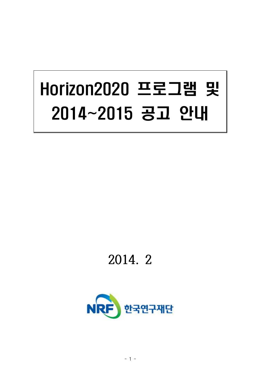# Horizon2020 프로그램 및 2014~2015 공고 안내

## **2014. 2**

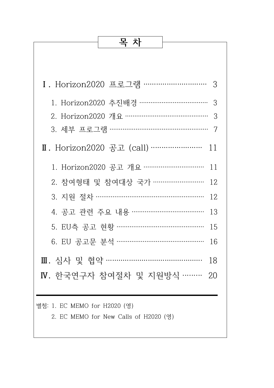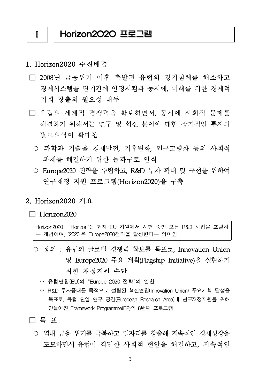#### Ⅰ Horizon2020 프로그램

#### 1. Horizon2020 추진배경

- □ 2008년 금융위기 이후 촉발된 유럽의 경기침체를 해소하고 경제시스템을 단기간에 안정시킴과 동시에, 미래를 위한 경제적 기회 창출의 필요성 대두
- □ 유럽의 세계적 경쟁력을 확보하면서, 동시에 사회적 문제를 해결하기 위해서는 연구 및 혁신 분야에 대한 장기적인 투자의 필요의식이 확대됨
	- 과학과 기술을 경제발전, 기후변화, 인구고령화 등의 사회적 과제를 해결하기 위한 돌파구로 인식
	- Europe2020 전략을 수립하고, R&D 투자 확대 및 구현을 위하여 연구재정 지원 프로그램(Horizon2020)을 구축

#### 2. Horizon2020 개요

#### $\Box$  Horizon2020

Horizon2020 : 'Horizon'은 현재 EU 차원에서 시행 중인 모든 R&D 사업을 포괄하 는 개념이며, '2020'은 Europe2020전략을 달성한다는 의미임

- 정의 : 유럽의 글로벌 경쟁력 확보를 목표로, Innovation Union 및 Europe2020 주요 계획(Flagship Initiative)을 실현하기 위한 재정지원 수단
	- ※ 유럽연합(EU)의 "Europe 2020 전략"의 일환
	- ※ R&D 투자증대를 목적으로 설립된 혁신연합(Innovation Union) 주요계획 달성을 목표로, 유럽 단일 연구 공간(European Research Area)내 연구재정지원을 위해 만들어진 Framework Programme(FP)의 8번째 프로그램

#### □ 목 표

○ 역내 금융 위기를 극복하고 일자리를 창출해 지속적인 경제성장을 도모하면서 유럽이 직면한 사회적 현안을 해결하고, 지속적인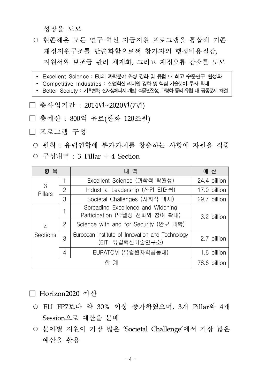성장을 도모

- 현존해온 모든 연구·혁신 자금지워 프로그램을 통합해 기존 재정지원구조를 단순화함으로써 참가자의 행정비용절감, 지원서와 보조금 관리 체계화, 그리고 재정오류 감소를 도모
- ∙ Excellent Science : EU의 과학분야 위상 강화 및 유럽 내 최고 수준연구 활성화
- Competitive Industries : 산업혁신 리더쉽 강화 및 핵심 기술분야 투자 확대
- Better Society : 기후변화, 신재생에냐지 개발, 식품안전성, 고령화 등의 유럽 내 공통문제 해결
- □ 총사업기간 : 2014년~2020년(7년)
- □ 총예산 : 800억 유로(한화 120조원)
- □ 프로그램 구성

○ 원칙 : 유럽연합에 부가가치를 창출하는 사항에 자원을 집중 ○ 구성내역 : 3 Pillar + 4 Section

| 항 목                               |                | 내 역                                                                 | 예 산          |
|-----------------------------------|----------------|---------------------------------------------------------------------|--------------|
| 3<br>Pillars                      |                | Excellent Science (과학적 탁월성)                                         | 24.4 billion |
|                                   | $\overline{2}$ | Industrial Leadership (산업 리더쉽)                                      | 17.0 billion |
|                                   | 3              | Societal Challenges (사회적 과제)                                        | 29.7 billion |
| $\overline{4}$<br><b>Sections</b> |                | Spreading Excellence and Widening<br>Participation (탁월성 전파와 참여 확대)  | 3.2 billion  |
|                                   | 2              | Science with and for Security (안보 과학)                               |              |
|                                   | 3              | European Institute of Innovation and Technology<br>(EIT, 유럽혁신기술연구소) | 2.7 billion  |
|                                   | 4              | EURATOM (유럽원자력공동체)                                                  | 1.6 billion  |
| 합 계                               |                |                                                                     | 78.6 billion |

### □ Horizon2020 예산

- EU FP7보다 약 30% 이상 증가하였으며, 3개 Pillar와 4개 Session으로 예산을 분배
- 분야별 지원이 가장 많은 'Societal Challenge'에서 가장 많은 예산을 활용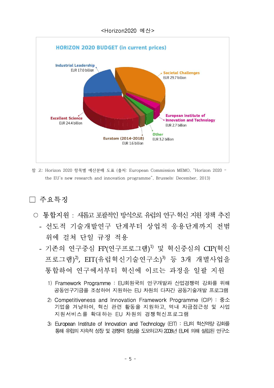

참 고: Horizon 2020 항목별 예산분배 도표 (출처: European Commission MEMO, "Horizon 2020 – the EU's new research and innovation programme", Brussels: December, 2013)

## $\Box$  주요특징

- 통합지워 : 새롭고 포괄적인 방식으로 유럽의 연구 혁신 지워 정책 추진 - 선도적 기술개발연구 단계부터 상업적 응용단계까지 전범 위에 걸쳐 단일 규정 적용
	- 기존의 연구중심 FP(연구프로그램) 1) 및 혁신중심의 CIP(혁신 프로그램)<sup>2)</sup>, EIT(유럽혁신기술연구소)<sup>3)</sup> 등 3개 개별사업을 통합하여 연구에서부터 혁신에 이르는 과정을 일괄 지원
		- 1) Framework Programme : EU회원국의 연구개발과 산업경쟁력 강화를 위해 공동연구기금을 조성하여 지원하는 EU 차원의 다자간 공동기술개발 프로그램
		- 2) Competitiveness and Innovation Framework Programme (CIP) : 중소 기업을 겨냥하여, 혁신 관련 활동을 지원하고, 역내 자금접근성 및 사업 지원서비스를 확대하는 EU 차원의 경쟁혁신프로그램
		- 3) European Institute of Innovation and Technology (EIT) : EU의 혁신역량 강화를 통해 유럽의 지속적 성장 및 경쟁력 항상을 도모하고자 2008년 日,에 의해 설립된 연구소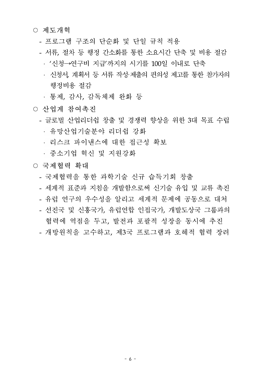#### ○ 제도개혁

- 프로그램 구조의 단순화 및 단일 규칙 적용
- 서류, 절차 등 행정 간소화를 통한 소요시간 단축 및 비용 절감 • '신청→연구비 지급'까지의 시기를 100일 이내로 단축
	- 신청서, 계획서 등 서류 작성·제출의 편의성 제고를 통한 참가자의 행정비용 절감
	- 통제, 감사, 감독체제 완화 등
- 산업계 참여촉지
	- 글로벌 산업리더쉽 창출 및 경쟁력 향상을 위한 3대 목표 수립 유망산업기술분야 리더쉽 강화
		- 리스크 파이낸스에 대한 접근성 확보
		- 중소기업 혁신 및 지원강화

#### ○ 국제협력 확대

- 국제협력을 통한 과학기술 신규 습득기회 창출
- 세계적 표준과 지침을 개발함으로써 신기술 유입 및 교류 촉진
- 유럽 연구의 우수성을 알리고 세계적 문제에 공동으로 대처
- 선진국 및 신흥국가, 유럽연합 인접국가, 개발도상국 그룹과의 협력에 역점을 두고, 발전과 포괄적 성장을 동시에 추진
- 개방원칙을 고수하고, 제3국 프로그램과 호혜적 협력 장려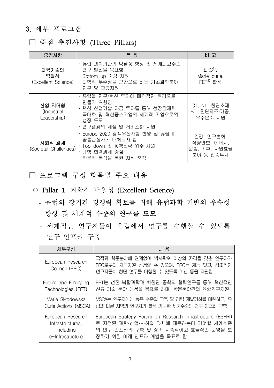## 3. 세부 프로그램

## □ 중점 추진사항 (Three Pillars)

| 중점사항                                 | 특 징                                                                                                                         | 비고                                                   |
|--------------------------------------|-----------------------------------------------------------------------------------------------------------------------------|------------------------------------------------------|
| 과학기술의<br>탁월성<br>(Excellent Science)  | ㆍ유럽 과학기반의 탁월성 향상 및 세계최고수준<br>연구 발전을 목표함<br>· Bottom-up 중심 지원<br>ㆍ과학적 우수성을 근간으로 하는 기초과학분야<br>연구 및 교류지원                       | $ERC1$ ,<br>Marie-curie,<br>$FET2)$ 활용               |
| 산업 리더쉽<br>(Industrial<br>Leadership) | ㆍ유럽을 연구/혁신 투자에 매력적인 환경으로<br>만들기 위함임<br>ㆍ핵심 산업기술 자금 투자를 통해 성장잠재력<br>극대화 및 혁신중소기업의 세계적 기업으로의<br>성장 도모<br>· 연구결과의 제품 및 서비스화 지원 | ICT, NT, 첨단소재,<br>BT, 첨단제조·가공,<br>우주분야 지원            |
| 사회적 과제<br>(Societal Challenges)      | · Europe 2020 정책우선사항 반영 및 유럽내<br>공통관심사에 대처코자 함<br>· Top-down 및 정책전략 위주 지원<br>ㆍ대형 협력과제 중심<br>· 학문적 통섭을 통한 지식 축적              | 건강, 인구변화,<br>식량안보, 에너지,<br>운송, 기후, 자원효율<br>분야 등 집중투자 |

## □ 프로그램 구성 항목별 주요 내용

- Pillar 1. 과학적 탁월성 (Excellent Science)
	- 유럽의 장기간 경쟁력 확보를 위해 유럽과학 기반의 우수성 향상 및 세계적 수준의 연구를 도모
	- 세계적인 연구자들이 유럽에서 연구를 수행할 수 있도록 연구 인프라 구축

| 세부구성                               | 내 용                                                                                                                |
|------------------------------------|--------------------------------------------------------------------------------------------------------------------|
| European Research<br>Council (ERC) | 국적과 학문분야에 관계없이 박사학위 이상의 자격을 갖춘 연구자가<br>ERC로부터 자금지원 신청할 수 있으며, ERC는 재능 있고, 창조적인<br>연구자들이 첨단 연구를 이행할 수 있도록 예산 등을 지원함 |
| Future and Emerging                | FET는 선진 복합과학과 최첨단 공학의 협력연구를 통해 혁신적인                                                                                |
| Technologies (FET)                 | 신규 기술 분야 개척을 목표로 하며, 학문분야간의 융합연구지원                                                                                 |
| Marie Skłodowska                   | MSCA는 연구자에게 높은 수준의 교육 및 경력 개발기회를 마련하고, 유                                                                           |
| -Curie Actions (MSCA)              | 럽과 다른 지역의 연구자가 활용 가능한 세계수준의 연구 인프라 구축                                                                              |
| European Research                  | European Strategy Forum on Research Infrastructure (ESFRI)                                                         |
| Infrastructures,                   | 로 지정된 과학·산업·사회의 과제에 대응하는데 기여할 세계수준                                                                                 |
| including                          | 의 연구 인프라의 구축 및 장기 지속적이고 효율적인 운영을 보                                                                                 |
| e-Infrastructure                   | 장하기 위한 미래 인프라 개발을 목표로 함                                                                                            |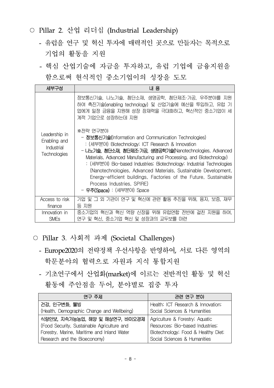- Pillar 2. 산업 리더십 (Industrial Leadership)
	- 유럽을 연구 및 혁신 투자에 매력적인 곳으로 만들자는 목적으로 기업의 활동을 지원
	- 핵심 산업기술에 자금을 투자하고, 유럽 기업에 금융지원을 함으로써 현식적인 중소기업이의 성장을 도모

| 세부구성                                                               | 내 용                                                                                                                                                                                                                                                                                                                                                                                                                                                                                                                                          |
|--------------------------------------------------------------------|----------------------------------------------------------------------------------------------------------------------------------------------------------------------------------------------------------------------------------------------------------------------------------------------------------------------------------------------------------------------------------------------------------------------------------------------------------------------------------------------------------------------------------------------|
|                                                                    | 정보통신기술, 나노기술, 첨단소재, 생명공학, 첨단제조·가공, 우주분야를 지원<br>하여 촉진기술(enabling technology) 및 산업기술에 예산을 투입하고, 유럽 기<br>업에게 일정 금융을 지원해 성장 잠재력을 극대화하고, 혁신적인 중소기업이 세<br>계적 기업으로 성장하는데 지원                                                                                                                                                                                                                                                                                                                                                                         |
| Leadership in<br>Enabling and<br>Industrial<br><b>Technologies</b> | ※전략 연구분야<br>- 정보통신기술(Information and Communication Technologies)<br>: (세부분야) Biotechnology; ICT Research & Innovation<br>- 나노기술, 첨단소재, 첨단제조·기공, 생명공학기술(Nanotechnologies, Advanced<br>Materials, Advanced Manufacturing and Processing, and Biotechnology)<br>: (세부분야) Bio-based Industries; Biotechnology; Industrial Technologies<br>(Nanotechnologies, Advanced Materials, Sustainable Development,<br>Energy-efficient buildings, Factories of the Future, Sustainable<br>Process Industries, SPIRE)<br>- <b>우주(Space)</b> : (세부분야) Space |
| Access to risk                                                     | 기업 및 그 외 기관이 연구 및 혁신에 관련 활동 추진을 위해, 융자, 보증, 재무                                                                                                                                                                                                                                                                                                                                                                                                                                                                                               |
| finance                                                            | 등 지원                                                                                                                                                                                                                                                                                                                                                                                                                                                                                                                                         |
| Innovation in                                                      | 중소기업의 혁신과 혁신 역량 신장을 위해 유럽연합 전반에 걸친 지원을 하여.                                                                                                                                                                                                                                                                                                                                                                                                                                                                                                   |
| <b>SME<sub>s</sub></b>                                             | 연구 및 혁신, 중소기업 혁신 및 성장과의 교두보를 마련                                                                                                                                                                                                                                                                                                                                                                                                                                                                                                              |

- Pillar 3. 사회적 과제 (Societal Challenges)
	- Europe2020의 전략정책 우선사항을 반영하여, 서로 다른 영역의 학문분야의 협력으로 자원과 지식 통합지원
	- 기초연구에서 산업화(market)에 이르는 전반적인 활동 및 혁신 활동에 주안점을 두어, 분야별로 집중 투자

| 연구 주제                                       | 관련 연구 분야                            |
|---------------------------------------------|-------------------------------------|
| 건강, 인구변화, 웰빙                                | Health; ICT Research & Innovation;  |
| (Health, Demographic Change and Wellbeing)  | Social Sciences & Humanities        |
| 식량안보, 지속가능농업, 해양 및 해상연구, 바이오경제              | Agriculture & Forestry; Aquatic     |
| (Food Security, Sustainable Agriculture and | Resources; Bio-based Industries;    |
| Forestry, Marine, Maritime and Inland Water | Biotechnology; Food & Healthy Diet; |
| Research and the Bioeconomy)                | Social Sciences & Humanities        |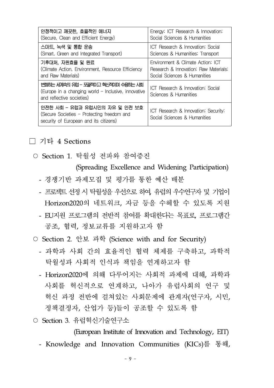| 안정적이고 깨끗한, 효율적인 에너지                                                                                                     | Energy; ICT Research & Innovation;                                   |
|-------------------------------------------------------------------------------------------------------------------------|----------------------------------------------------------------------|
| (Secure, Clean and Efficient Energy)                                                                                    | Social Sciences & Humanities                                         |
| 스마트, 녹색 및 통합 운송                                                                                                         | ICT Research & Innovation; Social                                    |
| (Smart, Green and Integrated Transport)                                                                                 | Sciences & Humanities; Transport                                     |
| 기후대처, 자원효율 및 원료                                                                                                         | Environment & Climate Action; ICT                                    |
| (Climate Action, Environment, Resource Efficiency                                                                       | Research & Innovation; Raw Materials;                                |
| and Raw Materials)                                                                                                      | Social Sciences & Humanities                                         |
| 변화는 세계속의 유럽 – 포괄적이고 혁신적이며 수용하는 시회<br>(Europe in a changing world $-$ Inclusive, innovative<br>and reflective societies) | ICT Research & Innovation; Social<br>Sciences & Humanities           |
| 안전한 사회 - 유럽과 유럽시민의 자유 및 안전 보호<br>(Secure Societies - Protecting freedom and<br>security of European and its citizens)   | ICT Research & Innovation; Security;<br>Social Sciences & Humanities |

#### □ 기타 4 Sections

○ Section 1. 탁월성 전파와 참여증진

(Spreading Excellence and Widening Participation)

- 경쟁기반 과제모집 및 평가를 통한 예산 배분
- 프로젝트 선정 시 탁월성을 우선으로 하여, 유럽의 우수연구자 및 기업이 Horizon2020의 네트워크, 자금 등을 수혜할 수 있도록 지원
- EU지원 프로그램의 전반적 참여를 확대한다는 목표로, 프로그램간 공조, 협력, 정보교류를 지원하고자 함
- Section 2. 안보 과학 (Science with and for Security)
	- 과학과 사회 간의 효율적인 협력 체제를 구축하고, 과학적 탁월성과 사회적 인식과 책임을 연계하고자 함
	- Horizon2020에 의해 다루어지는 사회적 과제에 대해, 과학과 사회를 혁신적으로 연계하고, 나아가 유럽사회의 연구 및 혁신 과정 전반에 걸쳐있는 사회문제에 관계자(연구자, 시민, 정책결정자, 산업가 등)들이 공조할 수 있도록 함
- Section 3. 유럽혁신기술연구소

(European Institute of Innovation and Technology, EIT)

- Knowledge and Innovation Communities (KICs)를 통해,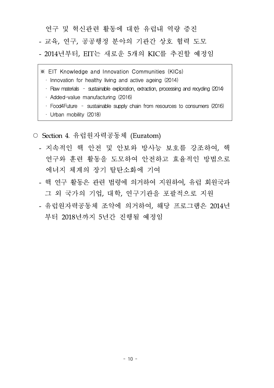연구 및 혁신관련 활동에 대한 유럽내 역량 증진

- 교육, 연구, 공공행정 분야의 기관간 상호 협력 도모
- 2014년부터, EIT는 새로운 5개의 KIC를 추진할 예정임
- ※ EIT Knowledge and Innovation Communities (KICs)
	- $\cdot$  Innovation for healthy living and active ageing (2014)
	- · Raw materials sustainable exploration, extraction, processing and recycling (2014)
	- · Added-value manufacturing (2016)
	- · Food4Future sustainable supply chain from resources to consumers (2016)
	- · Urban mobility (2018)
- Section 4. 유럽원자력공동체 (Euratom)
	- 지속적인 핵 안전 및 안보와 방사능 보호를 강조하여, 핵 연구와 훈련 활동을 도모하여 안전하고 효율적인 방법으로 에너지 체계의 장기 탈탄소화에 기여
	- 핵 연구 활동은 관련 법령에 의거하여 지원하여, 유럽 회원국과 그 외 국가의 기업, 대학, 연구기관을 포괄적으로 지원
	- 유럽원자력공동체 조약에 의거하여, 해당 프로그램은 2014년 부터 2018년까지 5년간 진행될 예정임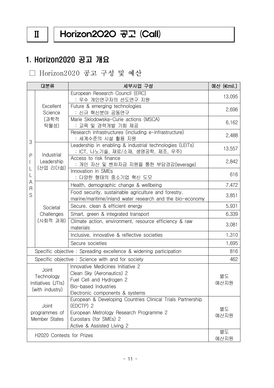## $II$  | Horizon2O2O 공고 (Call)

## 1. Horizon2020 공고 개요

□ Horizon2020 공고 구성 및 예산

|                                                                                                                                                                                                                        | 대분류                                                          | 세부사업 구성                                                                                                                                               | 예산 (€mil.) |
|------------------------------------------------------------------------------------------------------------------------------------------------------------------------------------------------------------------------|--------------------------------------------------------------|-------------------------------------------------------------------------------------------------------------------------------------------------------|------------|
|                                                                                                                                                                                                                        |                                                              | European Research Council (ERC)<br>: 우수 개인연구자의 선도연구 지원                                                                                                | 13,095     |
|                                                                                                                                                                                                                        | <b>Excellent</b><br>Science<br>(과학적<br>탁월성)                  | Future & emerging technologies<br>: 신규 혁신분야 공동연구                                                                                                      | 2,696      |
|                                                                                                                                                                                                                        |                                                              | Marie Sklodowska-Curie actions (MSCA)<br>: 교육 및 경력개발 기회 제공                                                                                            | 6,162      |
|                                                                                                                                                                                                                        |                                                              | Research infrastructures (including e-infrastructure)<br>: 세계수준의 시설 활용 지원                                                                             | 2,488      |
| 3                                                                                                                                                                                                                      | Industrial                                                   | Leadership in enabling & industrial technologies (LEITs)<br>: ICT, 나노기술, 재료/소재, 생명공학, 제조, 우주)                                                         | 13,557     |
| P                                                                                                                                                                                                                      | Leadership<br>(산업 리더쉽)                                       | Access to risk finance<br>: 개인 자산 및 벤처자금 지원을 통한 부담경감(leverage)                                                                                        | 2,842      |
| L                                                                                                                                                                                                                      |                                                              | Innovation in SMEs<br>: 다양한 형태의 중소기업 혁신 도모                                                                                                            | 616        |
| Α                                                                                                                                                                                                                      |                                                              | Health, demographic change & wellbeing                                                                                                                | 7,472      |
| S                                                                                                                                                                                                                      | R                                                            | Food security, sustainable agriculture and forestry,<br>marine/maritime/inland water research and the bio-economy                                     | 3,851      |
|                                                                                                                                                                                                                        | Societal                                                     | Secure, clean & efficient energy                                                                                                                      | 5,931      |
|                                                                                                                                                                                                                        | Challenges                                                   | Smart, green & integrated transport                                                                                                                   | 6,339      |
|                                                                                                                                                                                                                        | (사회적 과제)                                                     | Climate action, environment, resource efficiency & raw<br>materials                                                                                   | 3,081      |
|                                                                                                                                                                                                                        |                                                              | Inclusive, innovative & reflective societies                                                                                                          | 1,310      |
|                                                                                                                                                                                                                        |                                                              | Secure societies                                                                                                                                      | 1,695      |
| Specific objective: Spreading excellence & widening participation                                                                                                                                                      |                                                              | 816                                                                                                                                                   |            |
|                                                                                                                                                                                                                        |                                                              | Specific objective: Science with and for society                                                                                                      | 462        |
|                                                                                                                                                                                                                        | Joint<br>Technology<br>Initiatives (JTIs)<br>(with industry) | Innovative Medicines Initiative 2<br>Clean Sky (Aeronautics) 2<br>Fuel Cell and Hydrogen 2<br>Bio-based Industries<br>Electronic components & systems | 별도<br>예산지원 |
| European & Developing Countries Clinical Trials Partnership<br>(EDCTP) 2<br>Joint<br>European Metrology Research Programme 2<br>programmes of<br>Eurostars (for SMEs) 2<br>Member States<br>Active & Assisted Living 2 |                                                              | 별도<br>예산지원                                                                                                                                            |            |
| H2020 Contests for Prizes                                                                                                                                                                                              |                                                              |                                                                                                                                                       | 별도<br>예산지원 |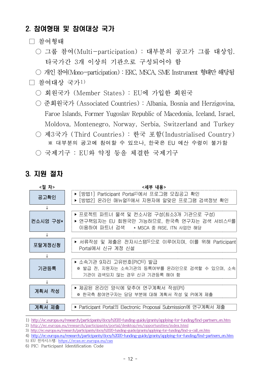## 2. 참여형태 및 참여대상 국가

- □ 참여형태
	- 그룹 참여(Multi-participation) : 대부분의 공고가 그룹 대상임. 타국가간 3개 이상의 기관으로 구성되어야 함
	- 개인 참여(Mono-participation) : ERC, MSCA, SME Instrument 형태만 해당됨

#### $\Box$  참여대상 국가1)

- 회원국가 (Member States) : EU에 가입한 회원국
- 준회원국가 (Associated Countries) : Albania, Bosnia and Herzigovina, Faroe Islands, Former Yugoslav Republic of Macedonia, Iceland, Israel, Moldova, Montenegro, Norway, Serbia, Switzerland and Turkey
- 제3국가 (Third Countries) : 한국 포함(Industrialised Country) ※ 대부분의 공고에 참여할 수 있으나, 한국은 EU 예산 수령이 불가함
- 국제기구 : EU와 약정 등을 체결한 국제기구

## 3. 지원 절차



<sup>1)</sup> http://ec.europa.eu/research/participants/docs/h2020-funding-guide/grants/applying-for-funding/find-partners\_en.htm

<sup>2)</sup> http://ec.europa.eu/research/participants/portal/desktop/en/opportunities/index.html

<sup>3)</sup> http://ec.europa.eu/research/participants/docs/h2020-funding-guide/grants/applying-for-funding/find-a-call\_en.htm

<sup>4)</sup> http://ec.europa.eu/research/participants/docs/h2020-funding-guide/grants/applying-for-funding/find-partners\_en.htm

<sup>5)</sup> EU 전자시스템: https://ecas.ec.europa.eu/cas

<sup>6)</sup> PIC: Participant Identification Code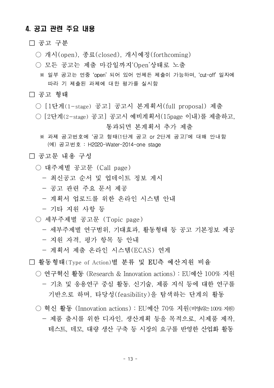#### 4. 공고 관련 주요 내용

#### □ 공고 구분

- 개시(open), 종료(closed), 개시예정(forthcoming)
- 모든 공고는 제출 마감일까지'Open'상태로 노출
	- ※ 일부 공고는 연중 'open' 되어 있어 언제든 제출이 가능하며, 'cut-off' 일자에 따라 기 제출된 과제에 대한 평가를 실시함

#### □ 공고 형태

- [1단계(1-stage) 공고] 공고시 본계획서(full proposal) 제출
- $\bigcirc$  [2단계(2-stage) 공고] 공고시 예비계획서(15page 이내)를 제출하고, 통과되면 본계획서 추가 제출
	- ※ 과제 공고번호에 '공고 형태(1단계 공고 or 2단계 공고)'에 대해 안내함 (예) 공고번호 : H2020-Water-2014-one stage

#### □ 공고문 내용 구성

- 대주제별 공고문 (Call page)
	- 최신공고 순서 및 업데이트 정보 게시
	- 공고 관련 주요 문서 제공
	- 계획서 업로드를 위한 온라인 시스템 안내
	- 기타 지원 사항 등
- 세부주제별 공고문 (Topic page)
	- 세부주제별 연구범위, 기대효과, 활동형태 등 공고 기본정보 제공
	- 지원 자격, 평가 항목 등 안내
	- 계획서 제출 온라인 시스템(ECAS) 연계

#### □ 활동형태(Type of Action)별 분류 및 EU측 예산지원 비율

- 연구혁신 활동 (Research & Innovation actions) : EU예산 100% 지원 - 기초 및 응용연구 중심 활동. 신기술, 제품 지식 등에 대한 연구를 기반으로 하며, 타당성(feasibility)을 탐색하는 단계의 활동
- 혁신 활동 (Innovation actions) : EU예산 70% 지워(비영리는100% 지원) - 제품 출시를 위한 디자인, 생산계획 등을 목적으로, 시제품 제작, 테스트, 데모, 대량 생산 구축 등 시장의 요구를 반영한 산업화 활동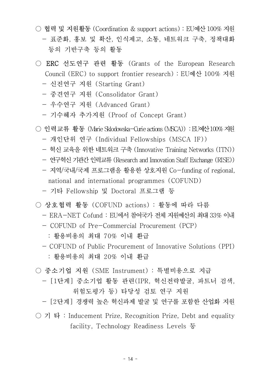- 협력 및 지원활동 (Coordination & support actions) : EU예산100% 지원 - 표준화, 홍보 및 확산, 인식제고, 소통, 네트워크 구축, 정책대화 등의 기반구축 등의 활동
- ERC 선도연구 관련 활동 (Grants of the European Research Council (ERC) to support frontier research) : EU예산 100% 지원
	- 신진연구 지원 (Starting Grant)
	- 중견연구 지원 (Consolidator Grant)
	- 우수연구 지원 (Advanced Grant)
	- 기수혜자 추가지원 (Proof of Concept Grant)
- 인력교류 활동 (Marie Sklodowska-Curie actions (MSCA)) :EU예산100% 지원
	- 개인단위 연구 (Individual Fellowships (MSCA IF))
	- 혁신 교육을 위한 네트워크 구축 (Innovative Training Networks (ITN))
	- 연구혁신기관간인력교류(Research and Innovation Staff Exchange (RISE))
	- 지역/국내/국제 프로그램을 활용한 상호지원 Co-funding of regional, national and international programmes (COFUND)
	- 기타 Fellowship 및 Doctoral 프로그램 등
- 상호협력 활동 (COFUND actions) : 활동에 따라 다름
	- ERA-NET Cofund : EU에서 참여국가 전체 지원예산의 최대 33% 이내
	- COFUND of Pre-Commercial Procurement (PCP)
		- : 활용비용의 최대 70% 이내 환급
	- COFUND of Public Procurement of Innovative Solutions (PPI)
		- : 활용비용의 최대 20% 이내 환급
- 중소기업 지원 (SME Instrument) : 특별비용으로 지급
	- [1단계] 중소기업 활동 관련(IPR, 혁신전략발굴, 파트너 검색, 위험도평가 등) 타당성 검토 연구 지원
	- [2단계] 경쟁력 높은 혁신과제 발굴 및 연구를 포함한 산업화 지원
- $\bigcirc$  기 타 : Inducement Prize, Recognition Prize, Debt and equality facility, Technology Readiness Levels 등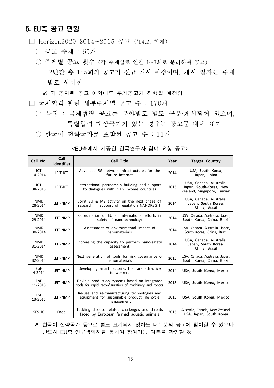#### 5. EU측 공고 현황

□ Horizon2020 2014~2015 공고 ('14.2. 현재)

- 공고 주제 : 65개
- 주제별 공고 횟수 (각 주제별로 연간 1~3회로 분리하여 공고)
	- 2년간 총 155회의 공고가 신규 개시 예정이며, 개시 일자는 주제 별로 상이함
	- ※ 기 공지된 공고 이외에도 추가공고가 진행될 예정임
- □ 국제협력 관련 세부주제별 공고 수 : 170개
	- 특징 : 국제협력 공고는 분야별로 별도 구분·게시되어 있으며, 특별협력 대상국가가 있는 경우는 공고문 내에 표기
	- 한국이 전략국가로 포함된 공고 수 : 11개

| Call No.              | Call<br><b>Identifier</b> | <b>Call Title</b>                                                                                                    | Year | <b>Target Country</b>                                                            |
|-----------------------|---------------------------|----------------------------------------------------------------------------------------------------------------------|------|----------------------------------------------------------------------------------|
| ICT.<br>14-2014       | LEIT-ICT                  | Advanced 5G network infrastructures for the<br>future internet                                                       | 2014 | USA, South Korea,<br>Japan, China                                                |
| ICT<br>38-2015        | LEIT-ICT                  | International partnership building and support<br>2015<br>to dialogues with high income countries                    |      | USA, Canada, Australia,<br>Japan, South-Korea, New<br>Zealand, Singapore, Taiwan |
| <b>NMK</b><br>28-2014 | LEIT-NMP                  | Joint EU & MS activity on the next phase of<br>2014<br>research in support of regulation NANOREG II<br>China, Brazil |      | USA, Canada, Australia,<br>Japan, South Korea,                                   |
| <b>NMK</b><br>29-2014 | LEIT-NMP                  | Coordination of EU an international efforts in<br>safety of nanotechnology                                           | 2014 | USA, Canada, Australia, Japan,<br>South Korea, China, Brazil                     |
| <b>NMK</b><br>30-2014 | LEIT-NMP                  | Assessment of environmental impact of<br>nanomaterials                                                               | 2014 | USA, Canada, Australia, Japan,<br>South Korea, China, Brazil                     |
| <b>NMK</b><br>31-2014 | LEIT-NMP                  | Increasing the capacity to perform nano-safety<br>assessment                                                         | 2014 | USA, Canada, Australia,<br>Japan, South Korea,<br>China, Brazil                  |
| <b>NMK</b><br>32-2015 | LEIT-NMP                  | Next generation of tools for risk governance of<br>nanomaterials                                                     | 2015 | USA, Canada, Australia, Japan,<br>South Korea, China, Brazil                     |
| <b>FoF</b><br>4-2014  | LEIT-NMP                  | Developing smart factories that are attractive<br>to workers                                                         | 2014 | USA, South Korea, Mexico                                                         |
| <b>FoF</b><br>11-2015 | LEIT-NMP                  | Flexible production systems based on integrated<br>tools for rapid reconfiguration of machinery and robots           | 2015 | USA, South Korea, Mexico                                                         |
| FoF<br>13-2015        | LEIT-NMP                  | Re-use and re-manufacturing technologies and<br>equipment for sustainable product life cycle<br>management           | 2015 | USA, South Korea, Mexico                                                         |
| <b>SFS-10</b>         | Food                      | Tackling disease related challenges and threats<br>faced by European farmed aquatic animals                          | 2015 | Australia, Canada, New Zealand,<br>USA, Japan, South Korea                       |

<EU측에서 제공한 한국연구자 참여 요청 공고>

※ 한국이 전략국가 등으로 별도 표기되지 않아도 대부분의 공고에 참여할 수 있으나, 반드시 EU측 연구책임자를 통하여 참여가능 여부를 확인할 것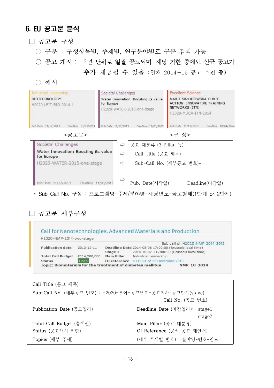#### 6. EU 공고문 분석

- □ 공고문 구성
	- 구분 : 구성항목별, 주제별, 연구분야별로 구분 검색 가능
	- 공고 개시 : 2년 단위로 일괄 공고되며, 해당 기한 중에도 신규 공고가 추가 제공될 수 있음 (현재 2014-15 공고 추진 중)

○ 예시

| Industrial Leadership<br><b>BIOTECHNOLOGY</b><br>H2020-LEIT-BIO-2014-1 | Societal Challenges<br>Water Innovation: Boosting its value<br>for Europe<br>H2020-WATER-2015-one-stage |                      | <b>Excellent Science</b><br>MARIE SKŁODOWSKA-CURIE<br><b>ACTION: INNOVATIVE TRAINING</b><br>NETWORKS (ITN)<br>H2020-MSCA-ITN-2014 |                      |
|------------------------------------------------------------------------|---------------------------------------------------------------------------------------------------------|----------------------|-----------------------------------------------------------------------------------------------------------------------------------|----------------------|
| Deadline: 13/03/2014<br>Pub.Date: 11/12/2013                           | Pub.Date: 11/12/2013                                                                                    | Deadline: 11/03/2015 | Pub.Date: 11/12/2013                                                                                                              | Deadline: 10/04/2014 |
| <공고문>                                                                  |                                                                                                         |                      | <구 성>                                                                                                                             |                      |
| Societal Challenges                                                    | $\Rightarrow$                                                                                           | 공고 대분류 (3 Pillar 등)  |                                                                                                                                   |                      |
| Water Innovation: Boosting its value<br>for Europe                     | $\Rightarrow$                                                                                           | Call Title (공고 제목)   |                                                                                                                                   |                      |
| H2020-WATER-2015-one-stage                                             | $\Rightarrow$                                                                                           |                      | Sub-Call No. (세부공고 번호)*                                                                                                           |                      |
| Pub.Date: 11/12/2013<br>Deadline: 11/03/2015                           | $\Rightarrow$                                                                                           | Pub. Date(시작일)       |                                                                                                                                   | Deadline(마감일)        |

\* Sub Call No. 구성 : 프로그램명-주제/분야명-해당년도-공고형태(1단계 or 2단계)

□ 공고문 세부구성

| H2O2O-NMP-2014-two-stage |              |                                                         |                                            |  |
|--------------------------|--------------|---------------------------------------------------------|--------------------------------------------|--|
|                          |              |                                                         | Sub call of: H2O2O-NMP-2014-2015           |  |
| <b>Publication date</b>  | 2013-12-11   | Deadline Date 2014-05-06 17:00:00 (Brussels local time) |                                            |  |
|                          |              | Stage 2                                                 | 2014-10-07 +17:00:00 (Brussels local time) |  |
| <b>Total Call Budget</b> | €114,200,000 | Main Pillar                                             | Industrial Leadership                      |  |
| <b>Status</b>            | Open         |                                                         | OJ reference OJ C361 of 11 December 2013   |  |

**Call Title** (공고 제목) **Sub-Call No.** (세부공고 번호) : H2020–분야–공고년도–공고회차-공고단계(stage)  **Call No.** (공고 번호) **Publication Date** (공고일자) **Deadline Date** (마감일자): stage1 stage2 **Total Call Budget** (총예산) **Main Pillar** (공고 대분류) **Status** (공고개시 현황) **OJ Reference** (공식 공고 제안서) **Topics** (세부 주제) (세부 주제별 번호) : 분야명-번호-연도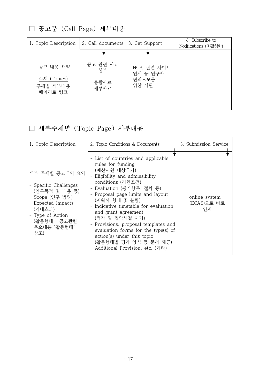□ 공고문 (Call Page) 세부내용

| 1. Topic Description               | 2. Call documents | 3. Get Support          | 4. Subscribe to<br>Notifications (미활성화) |
|------------------------------------|-------------------|-------------------------|-----------------------------------------|
|                                    |                   |                         |                                         |
| 공고 내용 요약                           | 공고 관련 자료<br>첨부    | NCP, 관련 사이트<br>연계 등 연구자 |                                         |
| 주제 (Topics)<br>주제별 세부내용<br>페이지로 링크 | 총괄자료<br>세부자료      | 편의도모를<br>위한 지원          |                                         |
|                                    |                   |                         |                                         |

□ 세부주제별 (Topic Page) 세부내용

| 1. Topic Description                                                                                                                                                  | 2. Topic Conditions & Documents                                                                                                                                                                                                                                                                                                                                                                                                                                                | 3. Submission Service              |
|-----------------------------------------------------------------------------------------------------------------------------------------------------------------------|--------------------------------------------------------------------------------------------------------------------------------------------------------------------------------------------------------------------------------------------------------------------------------------------------------------------------------------------------------------------------------------------------------------------------------------------------------------------------------|------------------------------------|
| 세부 주제별 공고내역 요약<br>- Specific Challenges<br>(연구목적 및 내용 등)<br>- Scope (연구 범위)<br>- Expected Impacts<br>(기대효과)<br>- Type of Action<br>(활동형태 : 공고관련<br>주요내용 '활동형태'<br>참조) | - List of countries and applicable<br>rules for funding<br>(예산지원 대상국가)<br>- Eligibility and admissibility<br>conditions (지원조건)<br>- Evaluation (평가항목, 절차 등)<br>- Proposal page limits and layout<br>(계획서 형태 및 분량)<br>- Indicative timetable for evaluation<br>and grant agreement<br>(평가 및 협약체결 시기)<br>- Provisions, proposal templates and<br>evaluation forms for the type(s) of<br>action(s) under this topic<br>(활동형태별 평가 양식 등 문서 제공)<br>- Additional Provision, etc. (기타) | online system<br>(ECAS)으로 바로<br>연계 |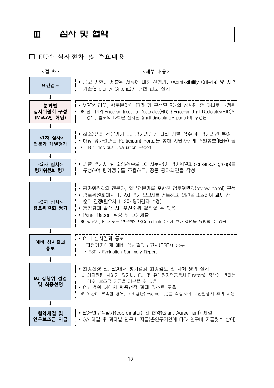Ⅲ 심사 및 협약

#### □ EU측 심사절차 및 주요내용

**<절 차> <세부 내용> 요건검토** ‣ 공고 기한내 제출된 서류에 대해 신청기준(Admissibility Criteria) 및 자격 기준(Eligibility Criteria)에 대한 검토 실시 **↓ 분과별 심사위원회 구성** <mark>분과별 │</mark> ▶ MSCA 경우, 학문분야에 따라 기 구성된 8개의 심사단 중 하나로 배정됨<br>**심사위원회 구성 │ ※** 단, ITN의 European Industrial Doctorates(EID)나 European Joint Doctorates(EJD)의<br>**(MSCA만 해당)** │ │ 경우, 별도의 다학문 심사단 (multidisciplinary panel)이 구성됨 ※ 단, ITN의 European Industrial Doctorates(EID)나 European Joint Doctorates(EJD)의 경우, 별도의 다학문 심사단 (multidisciplinary panel)이 구성됨 **↓** <**1차 심사> │ │ ▶** 최소3명의 전문가가 EU 평가기준에 따라 개별 점수 및 평가의견 부여<br><**1차 심사>** │ │ │ ╣다 퍼귀걸귀느 Bettierst Bettie 특╣ 지원자에게 게버튼님('ER.) **전문가 개별평가** ‣ 최소3명의 전문가가 EU 평가기준에 따라 개별 점수 및 평가의견 부여 ‣ 해당 평가결과는 Participant Portal을 통해 지원자에게 개별통보(IER\*) 됨 \* IER : Individual Evaluation Report **↓ <2차 심사>** -<**2차 심사> │ │▶** 개별 평가자 및 조정관(주로 EC 사무관)이 평가위원회(consensus group)를<br>**평가위원회 평가 │ │** 구성하여 평가점수를 조율하고, 공동 평가의견을 작성 구성하여 평가점수를 조율하고, 공동 평가의견을 작성 **↓ <3차 심사> 검토위원회 평가** ‣ 평가위원회의 전문가, 외부전문가를 포함한 검토위원회(review panel) 구성 ▶ 검토위원회에서 1, 2차 평가 보고서를 검토하고, 의견을 조율하여 과제 간 순위 결정(필요시 1, 2차 평가결과 수정) ▶ 동점과제 발생 시, 우선순위 결정할 수 있음 ‣ Panel Report 작성 및 EC 제출 ※ 필요시, EC에서는 연구책임자(Coordinator)에게 추가 설명을 요청할 수 있음 **↓ 예비 심사결과 통보**  ▶ 예비 심사결과 통보 - 피평가자에게 예비 심사결과보고서(ESR\*) 송부 \* ESR : Evaluation Summary Report **↓ EU 집행위 점검 및 최종선정** ▶ 최종선정 전, EC에서 평가결과 최종검토 및 자체 평가 실시 ※ 기지원된 사례가 있거나, EU 및 유럽원자력공동체(Euratom) 정책에 반하는 경우, 보조금 지급을 거부할 수 있음 ‣ 예산범위 내에서 최종선정 과제 리스트 도출 ※ 예산이 부족할 경우, 예비명단(reserve list)를 작성하여 예산발생시 추가 지원 **↓ 협약체결 및 연구보조금 지급** ‣ EC-연구책임자(coordinator) 간 협약(Grant Agreement) 체결 ▶ GA 체결 후 과제별 연구비 지급(총연구기간에 따라 연구비 지급횟수 상이)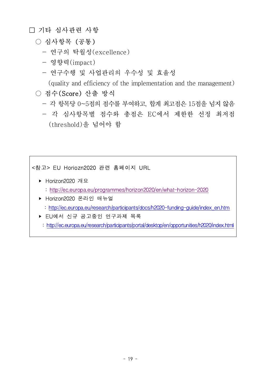## □ 기타 심사관련 사항

### ○ 심사항목 (공통)

- 연구의 탁월성(excellence)
- 영향력(impact)
- 연구수행 및 사업관리의 우수성 및 효율성

(quality and efficiency of the implementation and the management)

## ○ 적수(Score) 산출 방식

- 각 항목당 0~5점의 점수를 부여하고, 합계 최고점은 15점을 넘지 않음
- 각 심사항목별 점수와 총점은 EC에서 제한한 선정 최저점 (threshold)을 넘어야 함

#### <참고> EU Horiozn2020 관련 홈페이지 URL

- ▶ Horizon2020 개요
	- : http://ec.europa.eu/programmes/horizon2020/en/what-horizon-2020
- ▶ Horizon2020 온라인 매뉴얼 : http://ec.europa.eu/research/participants/docs/h2020-funding-guide/index\_en.htm
- ‣ EU에서 신규 공고중인 연구과제 목록
	- : http://ec.europa.eu/research/participants/portal/desktop/en/opportunities/h2020/index.html